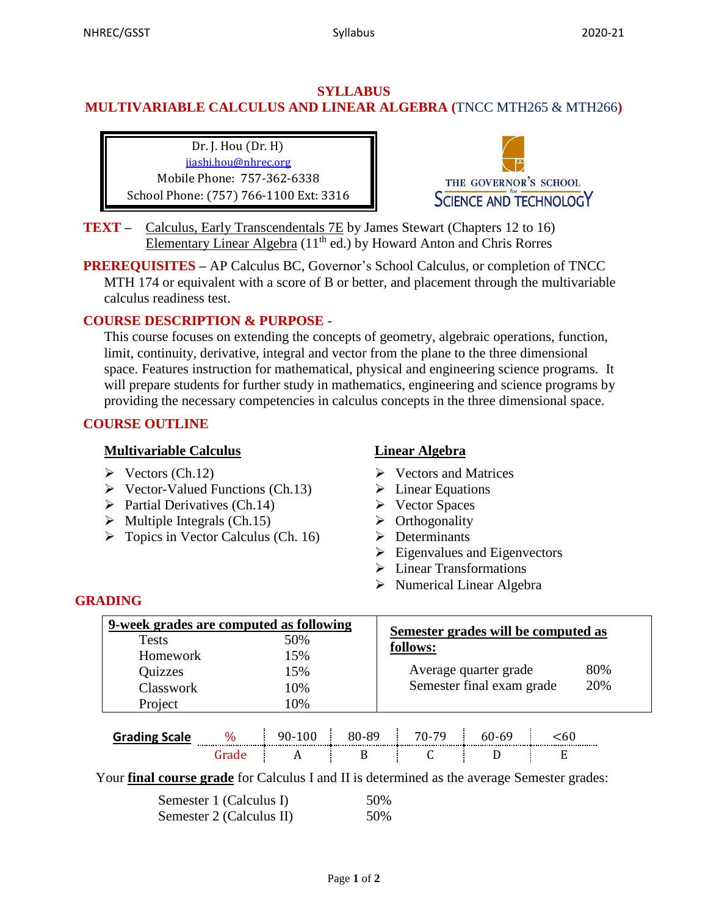## **SYLLABUS MULTIVARIABLE CALCULUS AND LINEAR ALGEBRA (**TNCC MTH265 & MTH266**)**

Dr. J. Hou (Dr. H) jiashi.hou@nhrec.org Mobile Phone: 757-362-6338 School Phone: (757) 766-1100 Ext: 3316



- **TEXT** Calculus, Early Transcendentals 7E by James Stewart (Chapters 12 to 16) Elementary Linear Algebra (11th ed.) by Howard Anton and Chris Rorres
- **PREREQUISITES –** AP Calculus BC, Governor's School Calculus, or completion of TNCC MTH 174 or equivalent with a score of B or better, and placement through the multivariable calculus readiness test.

## **COURSE DESCRIPTION & PURPOSE** -

This course focuses on extending the concepts of geometry, algebraic operations, function, limit, continuity, derivative, integral and vector from the plane to the three dimensional space. Features instruction for mathematical, physical and engineering science programs. It will prepare students for further study in mathematics, engineering and science programs by providing the necessary competencies in calculus concepts in the three dimensional space.

## **COURSE OUTLINE**

#### **Multivariable Calculus**

- $\triangleright$  Vectors (Ch.12)
- $\triangleright$  Vector-Valued Functions (Ch.13)
- $\triangleright$  Partial Derivatives (Ch.14)
- $\triangleright$  Multiple Integrals (Ch.15)
- $\triangleright$  Topics in Vector Calculus (Ch. 16)

## **Linear Algebra**

- Vectors and Matrices
- $\triangleright$  Linear Equations
- Vector Spaces
- $\triangleright$  Orthogonality
- $\triangleright$  Determinants
- $\triangleright$  Eigenvalues and Eigenvectors
- Linear Transformations
- $\triangleright$  Numerical Linear Algebra

## **GRADING**

| 9-week grades are computed as following |               |          |       | Semester grades will be computed as |       |      |     |
|-----------------------------------------|---------------|----------|-------|-------------------------------------|-------|------|-----|
| <b>Tests</b>                            |               | 50%      |       | follows:                            |       |      |     |
| Homework                                |               | 15%      |       |                                     |       |      |     |
| Quizzes                                 |               | 15%      |       | Average quarter grade               |       |      | 80% |
| Classwork                               |               | 10%      |       | Semester final exam grade<br>20%    |       |      |     |
| Project                                 |               | 10%      |       |                                     |       |      |     |
|                                         |               |          |       |                                     |       |      |     |
| <b>Grading Scale</b>                    | $\frac{0}{0}$ | $90-100$ | 80-89 | 70-79                               | 60-69 | < 60 |     |
|                                         | Grade         |          |       |                                     |       | E    |     |

Your **final course grade** for Calculus I and II is determined as the average Semester grades:

| Semester 1 (Calculus I)  | 50% |
|--------------------------|-----|
| Semester 2 (Calculus II) | 50% |